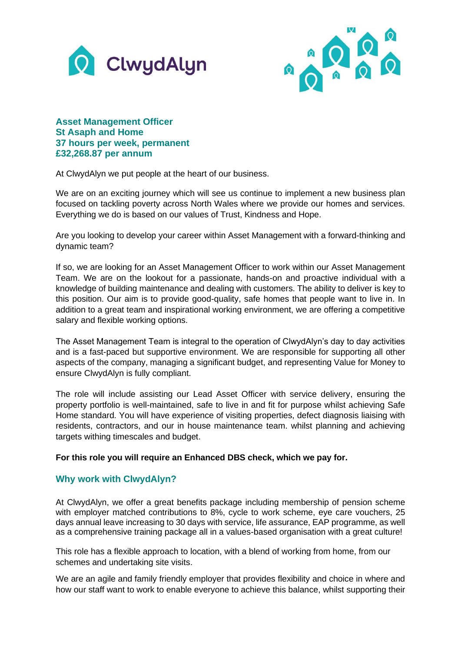



## **Asset Management Officer St Asaph and Home 37 hours per week, permanent £32,268.87 per annum**

At ClwydAlyn we put people at the heart of our business.

We are on an exciting journey which will see us continue to implement a new business plan focused on tackling poverty across North Wales where we provide our homes and services. Everything we do is based on our values of Trust, Kindness and Hope.

Are you looking to develop your career within Asset Management with a forward-thinking and dynamic team?

If so, we are looking for an Asset Management Officer to work within our Asset Management Team. We are on the lookout for a passionate, hands-on and proactive individual with a knowledge of building maintenance and dealing with customers. The ability to deliver is key to this position. Our aim is to provide good-quality, safe homes that people want to live in. In addition to a great team and inspirational working environment, we are offering a competitive salary and flexible working options.

The Asset Management Team is integral to the operation of ClwydAlyn's day to day activities and is a fast-paced but supportive environment. We are responsible for supporting all other aspects of the company, managing a significant budget, and representing Value for Money to ensure ClwydAlyn is fully compliant.

The role will include assisting our Lead Asset Officer with service delivery, ensuring the property portfolio is well-maintained, safe to live in and fit for purpose whilst achieving Safe Home standard. You will have experience of visiting properties, defect diagnosis liaising with residents, contractors, and our in house maintenance team. whilst planning and achieving targets withing timescales and budget.

## **For this role you will require an Enhanced DBS check, which we pay for.**

## **Why work with ClwydAlyn?**

At ClwydAlyn, we offer a great benefits package including membership of pension scheme with employer matched contributions to 8%, cycle to work scheme, eye care vouchers, 25 days annual leave increasing to 30 days with service, life assurance, EAP programme, as well as a comprehensive training package all in a values-based organisation with a great culture!

This role has a flexible approach to location, with a blend of working from home, from our schemes and undertaking site visits.

We are an agile and family friendly employer that provides flexibility and choice in where and how our staff want to work to enable everyone to achieve this balance, whilst supporting their